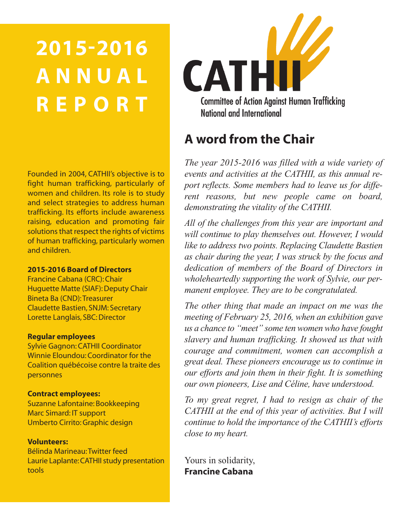# **2015-2016 A N N U A L R E P O R T**

Founded in 2004, CATHII's objective is to fight human trafficking, particularly of women and children. Its role is to study and select strategies to address human trafficking. Its efforts include awareness raising, education and promoting fair solutions that respect the rights of victims of human trafficking, particularly women and children.

#### **2015-2016 Board of Directors**

Francine Cabana (CRC): Chair Huguette Matte (SIAF): Deputy Chair Bineta Ba (CND):Treasurer Claudette Bastien, SNJM: Secretary Lorette Langlais, SBC: Director

#### **Regular employees**

Sylvie Gagnon: CATHII Coordinator Winnie Eloundou: Coordinator for the Coalition québécoise contre la traite des personnes

#### **Contract employees:**

Suzanne Lafontaine: Bookkeeping Marc Simard: IT support Umberto Cirrito: Graphic design

#### **Volunteers:**

Bélinda Marineau:Twitter feed Laurie Laplante: CATHII study presentation tools



# **A word from the Chair**

*The year 2015-2016 was filled with a wide variety of events and activities at the CATHII, as this annual report reflects. Some members had to leave us for different reasons, but new people came on board, demonstrating the vitality of the CATHII.*

*All of the challenges from this year are important and will continue to play themselves out. However, I would like to address two points. Replacing Claudette Bastien as chair during the year, I was struck by the focus and dedication of members of the Board of Directors in wholeheartedly supporting the work of Sylvie, our permanent employee. They are to be congratulated.*

*The other thing that made an impact on me was the meeting of February 25, 2016, when an exhibition gave us a chance to "meet" some ten women who have fought slavery and human trafficking. It showed us that with courage and commitment, women can accomplish a great deal. These pioneers encourage us to continue in our efforts and join them in their fight. It is something our own pioneers, Lise and Céline, have understood.*

*To my great regret, I had to resign as chair of the CATHII at the end of this year of activities. But I will continue to hold the importance of the CATHII's efforts close to my heart.*

Yours in solidarity, **Francine Cabana**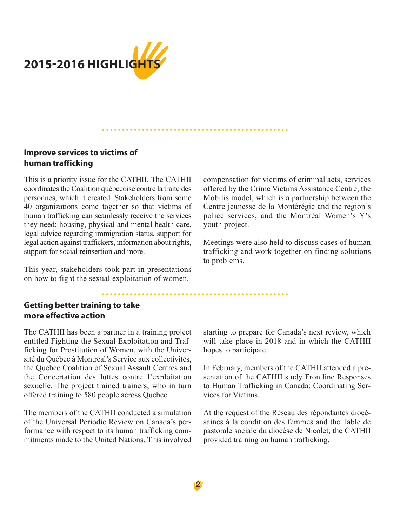

# **Improve services to victims of human trafficking**

This is a priority issue for the CATHII. The CATHII coordinates the Coalition québécoise contre la traite des personnes, which it created. Stakeholders from some 40 organizations come together so that victims of human trafficking can seamlessly receive the services they need: housing, physical and mental health care, legal advice regarding immigration status, support for legal action against traffickers, information about rights, support for social reinsertion and more.

This year, stakeholders took part in presentations on how to fight the sexual exploitation of women,

compensation for victims of criminal acts, services offered by the Crime Victims Assistance Centre, the Mobilis model, which is a partnership between the Centre jeunesse de la Montérégie and the region's police services, and the Montréal Women's Y's youth project.

Meetings were also held to discuss cases of human trafficking and work together on finding solutions to problems.

# **Getting better training to take more effective action**

The CATHII has been a partner in a training project entitled Fighting the Sexual Exploitation and Trafficking for Prostitution of Women, with the Université du Québec à Montréal's Service aux collectivités, the Quebec Coalition of Sexual Assault Centres and the Concertation des luttes contre l'exploitation sexuelle. The project trained trainers, who in turn offered training to 580 people across Quebec.

The members of the CATHII conducted a simulation of the Universal Periodic Review on Canada's performance with respect to its human trafficking commitments made to the United Nations. This involved starting to prepare for Canada's next review, which will take place in 2018 and in which the CATHII hopes to participate.

In February, members of the CATHII attended a presentation of the CATHII study Frontline Responses to Human Trafficking in Canada: Coordinating Services for Victims.

At the request of the Réseau des répondantes diocésaines à la condition des femmes and the Table de pastorale sociale du diocèse de Nicolet, the CATHII provided training on human trafficking.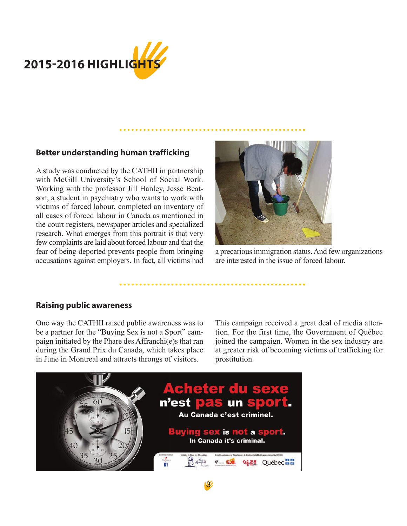

## **Better understanding human trafficking**

A study was conducted by the CATHII in partnership with McGill University's School of Social Work. Working with the professor Jill Hanley, Jesse Beatson, a student in psychiatry who wants to work with victims of forced labour, completed an inventory of all cases of forced labour in Canada as mentioned in the court registers, newspaper articles and specialized research. What emerges from this portrait is that very few complaints are laid about forced labour and that the fear of being deported prevents people from bringing accusations against employers. In fact, all victims had



a precarious immigration status. And few organizations are interested in the issue of forced labour.

#### **Raising public awareness**

One way the CATHII raised public awareness was to be a partner for the "Buying Sex is not a Sport" campaign initiated by the Phare des Affranchi(e)s that ran during the Grand Prix du Canada, which takes place in June in Montreal and attracts throngs of visitors.

This campaign received a great deal of media attention. For the first time, the Government of Québec joined the campaign. Women in the sex industry are at greater risk of becoming victims of trafficking for prostitution.

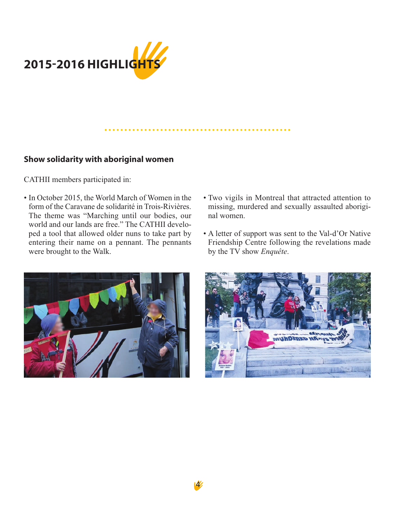

# **Show solidarity with aboriginal women**

CATHII members participated in:

- In October 2015, the World March of Women in the form of the Caravane de solidarité in Trois-Rivières. The theme was "Marching until our bodies, our world and our lands are free." The CATHII developed a tool that allowed older nuns to take part by entering their name on a pennant. The pennants were brought to the Walk.
- Two vigils in Montreal that attracted attention to missing, murdered and sexually assaulted aboriginal women.
- A letter of support was sent to the Val-d'Or Native Friendship Centre following the revelations made by the TV show *Enquête*.



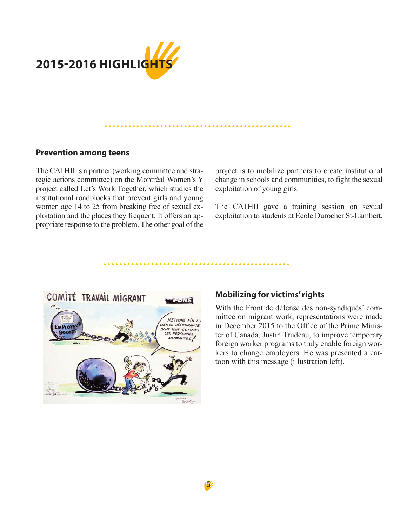

#### 

#### **Prevention among teens**

The CATHII is a partner (working committee and strategic actions committee) on the Montréal Women's Y project called Let's Work Together, which studies the institutional roadblocks that prevent girls and young women age 14 to 25 from breaking free of sexual exploitation and the places they frequent. It offers an appropriate response to the problem. The other goal of the project is to mobilize partners to create institutional change in schools and communities, to fight the sexual exploitation of young girls.

The CATHII gave a training session on sexual exploitation to students at École Durocher St-Lambert.



#### **Mobilizing for victims' rights**

With the Front de défense des non-syndiqués' committee on migrant work, representations were made in December 2015 to the Office of the Prime Minister of Canada, Justin Trudeau, to improve temporary foreign worker programs to truly enable foreign workers to change employers. He was presented a cartoon with this message (illustration left).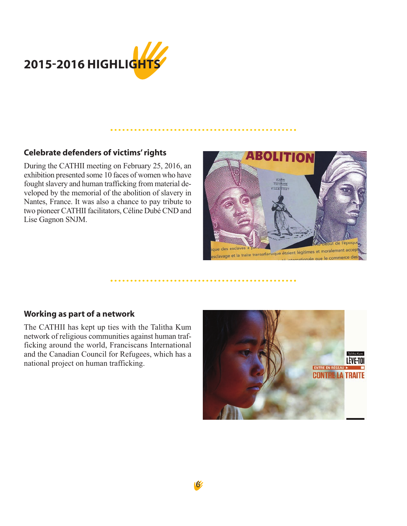

# **Celebrate defenders of victims' rights**

During the CATHII meeting on February 25, 2016, an exhibition presented some 10 faces of women who have fought slavery and human trafficking from material developed by the memorial of the abolition of slavery in Nantes, France. It was also a chance to pay tribute to two pioneer CATHII facilitators, Céline Dubé CND and Lise Gagnon SNJM.



# **Working as part of a network**

The CATHII has kept up ties with the Talitha Kum network of religious communities against human trafficking around the world, Franciscans International and the Canadian Council for Refugees, which has a national project on human trafficking.

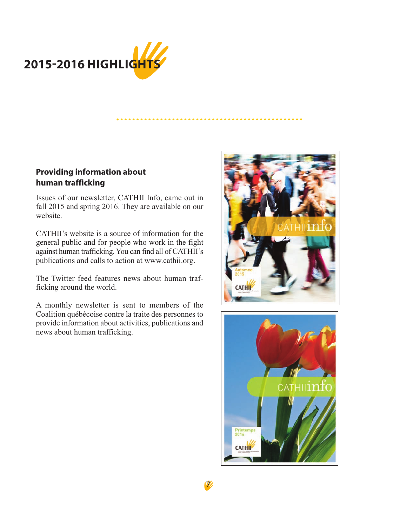

# **Providing information about human trafficking**

Issues of our newsletter, CATHII Info, came out in fall 2015 and spring 2016. They are available on our website.

CATHII's website is a source of information for the general public and for people who work in the fight against human trafficking. You can find all of CATHII's publications and calls to action at www.cathii.org.

The Twitter feed features news about human trafficking around the world.

A monthly newsletter is sent to members of the Coalition québécoise contre la traite des personnes to provide information about activities, publications and news about human trafficking.